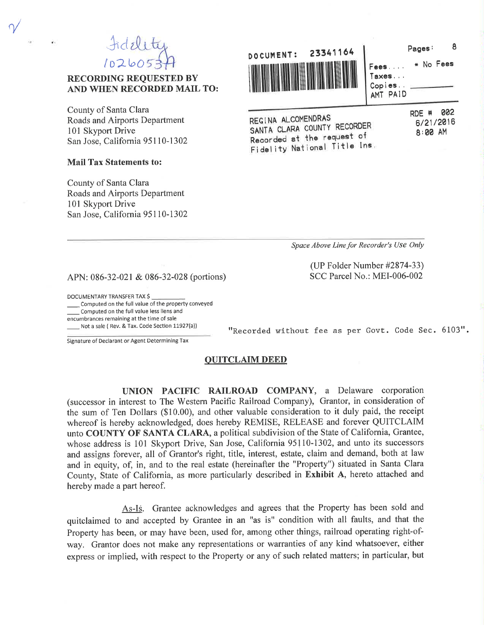Fidelity  $102605$ 

# **RECORDING REQUESTED BY** AND WHEN RECORDED MAIL TO:

County of Santa Clara Roads and Airports Department 101 Skyport Drive San Jose, California 95110-1302

### **Mail Tax Statements to:**

County of Santa Clara Roads and Airports Department 101 Skyport Drive San Jose, California 95110-1302



REGINA ALCOMENDRAS SANTA CLARA COUNTY RECORDER Recorded at the request of Fidelity National Title Ins. RDE # 002 6/21/2016 8:00 AM

\* No Fees

8

Space Above Line for Recorder's Use Only

"Recorded without fee as per Govt. Code Sec. 6103".

(UP Folder Number #2874-33) SCC Parcel No.: MEI-006-002

APN: 086-32-021 & 086-32-028 (portions)

DOCUMENTARY TRANSFER TAX \$

Computed on the full value of the property conveyed Computed on the full value less liens and encumbrances remaining at the time of sale Not a sale (Rev. & Tax. Code Section 11927(a))

Signature of Declarant or Agent Determining Tax

#### **QUITCLAIM DEED**

UNION PACIFIC RAILROAD COMPANY, a Delaware corporation (successor in interest to The Western Pacific Railroad Company), Grantor, in consideration of the sum of Ten Dollars (\$10.00), and other valuable consideration to it duly paid, the receipt whereof is hereby acknowledged, does hereby REMISE, RELEASE and forever QUITCLAIM unto COUNTY OF SANTA CLARA, a political subdivision of the State of California, Grantee, whose address is 101 Skyport Drive, San Jose, California 95110-1302, and unto its successors and assigns forever, all of Grantor's right, title, interest, estate, claim and demand, both at law and in equity, of, in, and to the real estate (hereinafter the "Property") situated in Santa Clara County, State of California, as more particularly described in Exhibit A, hereto attached and hereby made a part hereof.

As-Is. Grantee acknowledges and agrees that the Property has been sold and quitclaimed to and accepted by Grantee in an "as is" condition with all faults, and that the Property has been, or may have been, used for, among other things, railroad operating right-ofway. Grantor does not make any representations or warranties of any kind whatsoever, either express or implied, with respect to the Property or any of such related matters; in particular, but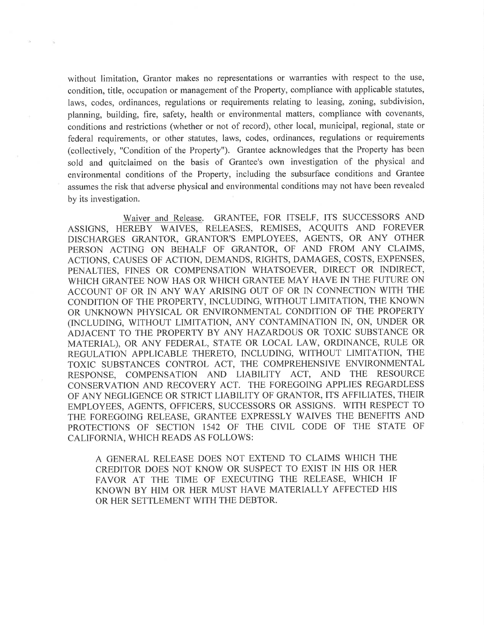without limitation, Grantor makes no representations or warranties with respect to the use, condition, title, occupation or management of the Property, compliance with applicable statutes, laws, codes, ordinances, regulations or requirements relating to leasing, zoning, subdivision, planning, building, fire, safety, health or environmental matters, compliance with covenants, conditions and restrictions (whether or not of record), other local, municipal, regional, state or federal requirements, or other statutes, laws, codes, ordinances, regulations or requirements (collectively, "Condition of the Property"). Grantee acknowledges that the Property has been sold and quitclaimed on the basis of Grantee's own investigation of the physical and environmental conditions of the Property, including the subsurface conditions and Grantee assumes the risk that adverse physical and environmental conditions may not have been revealed by its investigation.

Waiver and Release. GRANTEE, FOR ITSELF, ITS SUCCESSORS AND ASSIGNS, HEREBY WAIVES, RELEASES, REMISES, ACQUITS AND FOREVER DISCHARGES GRANTOR, GRANTOR'S EMPLOYEES, AGENTS, OR ANY OTHER PERSON ACTING ON BEHALF OF GRANTOR, OF AND FROM ANY CLAIMS, ACTIONS, CAUSES OF ACTION, DEMANDS, RIGHTS, DAMAGES, COSTS, EXPENSES, PENALTIES, FINES OR COMPENSATION WHATSOEVER, DIRECT OR INDIRECT, WHICH GRANTEE NOW HAS OR WHICH GRANTEE MAY HAVE IN THE FUTURE ON ACCOUNT OF OR IN ANY WAY ARISING OUT OF OR IN CONNECTION WITH THE CONDITION OF THE PROPERTY, INCLUDING, WITHOUT LIMITATION, THE KNOWN OR UNKNOWN PHYSICAL OR ENVIRONMENTAL CONDITION OF THE PROPERTY (INCLUDING, WITHOUT LIMITATION, ANY CONTAMINATION IN, ON, UNDER OR ADJACENT TO THE PROPERTY BY ANY HAZARDOUS OR TOXIC SUBSTANCE OR MATERIAL), OR ANY FEDERAL, STATE OR LOCAL LAW, ORDINANCE, RULE OR REGULATION APPLICABLE THERETO, INCLUDING, WITHOUT LIMITATION, THE TOXIC SUBSTANCES CONTROL ACT, THE COMPREHENSIVE ENVIRONMENTAL RESPONSE, COMPENSATION AND LIABILITY ACT, AND THE RESOURCE CONSERVATION AND RECOVERY ACT. THE FOREGOING APPLIES REGARDLESS OF ANY NEGLIGENCE OR STRICT LIABILITY OF GRANTOR, ITS AFFILIATES, THEIR EMPLOYEES, AGENTS, OFFICERS, SUCCESSORS OR ASSIGNS. WITH RESPECT TO THE FOREGOING RELEASE, GRANTEE EXPRESSLY WAIVES THE BENEFITS AND PROTECTIONS OF SECTION 1542 OF THE CIVIL CODE OF THE STATE OF CALIFORNIA, WHICH READS AS FOLLOWS:

A GENERAL RELEASE DOES NOT EXTEND TO CLAIMS WHICH THE CREDITOR DOES NOT KNOW OR SUSPECT TO EXIST IN HIS OR HER FAVOR AT THE TIME OF EXECUTING THE RELEASE, WHICH IF KNOWN BY HIM OR HER MUST HAVE MATERIALLY AFFECTED HIS OR HER SETTLEMENT WITH THE DEBTOR.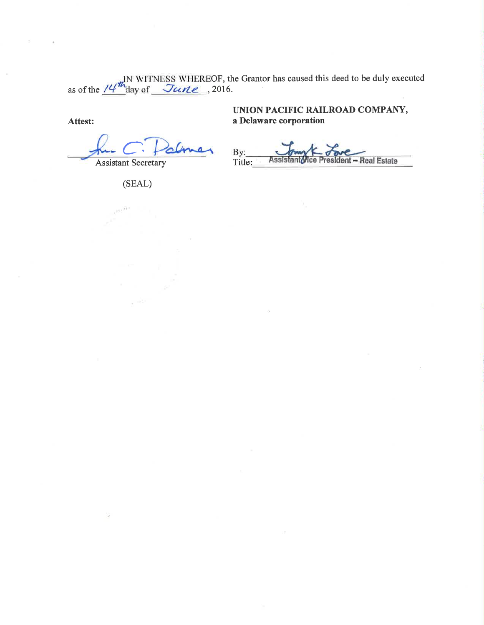as of the  $14^{\frac{1}{m}}$  WITNESS WHEREOF, the Grantor has caused this deed to be duly executed as of the  $14^{\frac{1}{m}}$  day of  $\frac{7u}{2016}$ .

Attest:

**Assistant Secretary** 

UNION PACIFIC RAILROAD COMPANY, a Delaware corporation

By:<br>Title: Real Estate

(SEAL)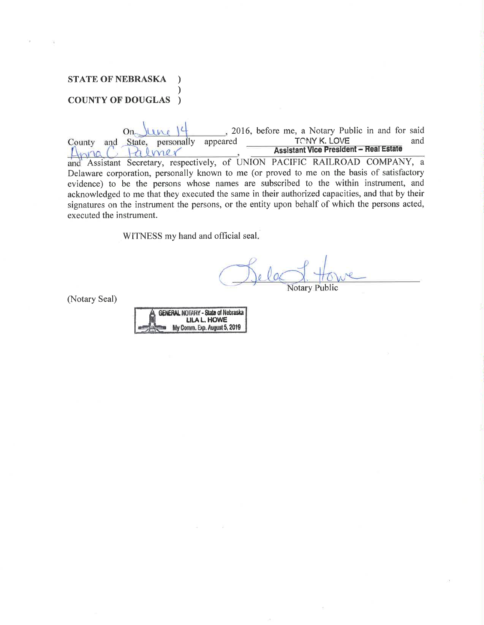# **STATE OF NEBRASKA COUNTY OF DOUGLAS**  $\rightarrow$

2016, before me, a Notary Public in and for said  $On_{\sim}$ **TONY K. LOVE** and County and State, personally appeared **Assistant Vice President - Real Estate**  $H$  lmer  $L<sub>h</sub>na$ and Assistant Secretary, respectively, of UNION PACIFIC RAILROAD COMPANY, a Delaware corporation, personally known to me (or proved to me on the basis of satisfactory evidence) to be the persons whose names are subscribed to the within instrument, and acknowledged to me that they executed the same in their authorized capacities, and that by their signatures on the instrument the persons, or the entity upon behalf of which the persons acted, executed the instrument.

WITNESS my hand and official seal.

**Notary Public** 

(Notary Seal)

| <b>GENERAL NOTARY - State of Nebraska</b> |
|-------------------------------------------|
| <b>LILA L. HOWE</b>                       |
| My Comm. Exp. August 5, 2019              |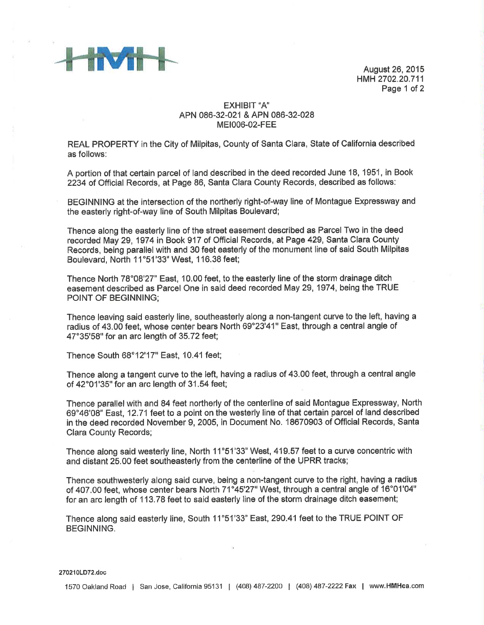

August 26,2015 H\{tH 2702.20.711 Page 1 of 2

## EXHIBIT "A' APN 086-32-021 & APN 086-32-428 MEt006-02-FEE

REAL PROPERTY in the City of Milpitas, County of Santa Clara, State of California described as follows:

A portion of that certain parcel of land described in the deed recorded June 18, 1951, in Book 2234 of Official Records, at Page 86, Santa Clara County Records, described as follows:

BEGINNING at the intersection of the northerly right-of-way line of Montague Expressway and the easterly right-of-way line of South Milpitas Boulevard;

Thence along the easterly line of the street easement described ae Parcel Two in the deed recorded May 29, 1974 in Book 917 of Official Records, at Page 429, Santa Clara County Records, being parallel with and 30 feet easterly of the monument line of said South Milpitae Boulevard, North 11°51'33" West, 116.38 feet;

Thence North 78°08'27" East, 10.00 feet, to the easterly line of the storm drainage ditch easement described as Parcel One in said deed recorded May 29, 1974, being the TRUE POINT OF BEGINNING;

Thence leaving said easterly line, southeasterly along a non-tangent curve to the left, having a radius of 43.00 feet, whose center bears North 69"23'41" East, through a central angle of 47°35'58" for an arc length of 35.72 feet;

Thence South 68'12'17" East, 10.41 feet;

Thence along a tangent curve to the left, having a radius of 43,00 feet, through a central angle of 42'01'35" for an arc length of 31.54 feet;

Thence parallel with and 84 feet northerly of the centerline of said Montague Expressway, North 69°46'08" East, 12.71 feet to a point on the westerly line of that certain parcel of land described in the deed recorded November 9, 2005, in Document No. 18670903 of Official Records, Santa Clara County Records;

Thence along said westerly line, North 11°51'33" West, 419.57 feet to a curve concentric with and distant 25.00 feet southeasterly from the centerline of the UPRR tracks;

Thence southwesterly along said curve, being a non-tangent curve to the right, having a radius of 407.00 feet, whose center bears North 71°45'27" West, through a central angle of 16°01'04" for an arc length of 113.78 feet to said easterly line of the storm drainage ditch easement;

Thence along said easterly line, South 11°51'33" East, 290.41 feet to the TRUE POINT OF BEGINNING.

#### 270210LD72.doc

1570 Oakland Road | San Jose, California 95131 | (408) 487-2200 | (408) 487-2222 Fax | www.HMHca.com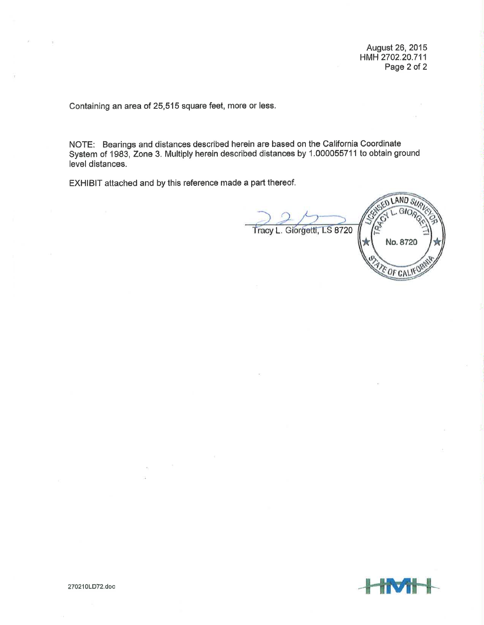August 26,2015 HMH2702.20.711 Page 2 of 2

Containing an area of 25,515 square feet, more or less.

NOTE: Bearings and distances described herein are based on the California Coordinate System of 1983, Zone 3. Multiply herein described distances by 1.00005571 1 to obtain ground level distances.

EXHIBIT attached and by this reference made a part thereof,

LAND SUA GIO Tracy L. Giorgetti, LS 8720 No,8720 E OF CALIF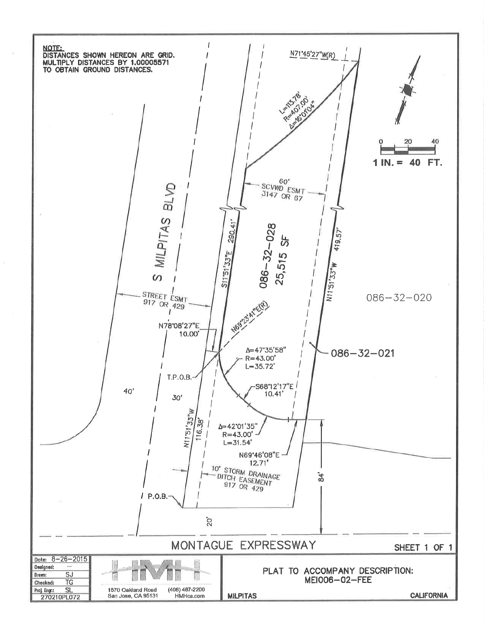